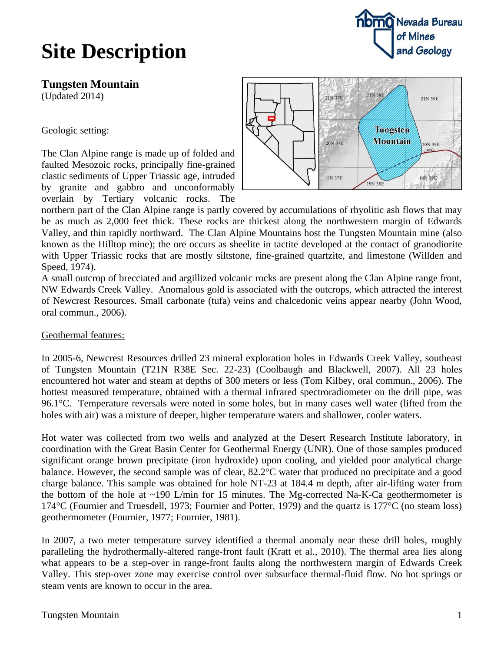

## **Site Description**

**Tungsten Mountain**

(Updated 2014)

Geologic setting:

The Clan Alpine range is made up of folded and faulted Mesozoic rocks, principally fine-grained clastic sediments of Upper Triassic age, intruded by granite and gabbro and unconformably overlain by Tertiary volcanic rocks. The



northern part of the Clan Alpine range is partly covered by accumulations of rhyolitic ash flows that may be as much as 2,000 feet thick. These rocks are thickest along the northwestern margin of Edwards Valley, and thin rapidly northward. The Clan Alpine Mountains host the Tungsten Mountain mine (also known as the Hilltop mine); the ore occurs as sheelite in tactite developed at the contact of granodiorite with Upper Triassic rocks that are mostly siltstone, fine-grained quartzite, and limestone (Willden and Speed, 1974).

A small outcrop of brecciated and argillized volcanic rocks are present along the Clan Alpine range front, NW Edwards Creek Valley. Anomalous gold is associated with the outcrops, which attracted the interest of Newcrest Resources. Small carbonate (tufa) veins and chalcedonic veins appear nearby (John Wood, oral commun., 2006).

### Geothermal features:

In 2005-6, Newcrest Resources drilled 23 mineral exploration holes in Edwards Creek Valley, southeast of Tungsten Mountain (T21N R38E Sec. 22-23) (Coolbaugh and Blackwell, 2007). All 23 holes encountered hot water and steam at depths of 300 meters or less (Tom Kilbey, oral commun., 2006). The hottest measured temperature, obtained with a thermal infrared spectroradiometer on the drill pipe, was 96.1°C. Temperature reversals were noted in some holes, but in many cases well water (lifted from the holes with air) was a mixture of deeper, higher temperature waters and shallower, cooler waters.

Hot water was collected from two wells and analyzed at the Desert Research Institute laboratory, in coordination with the Great Basin Center for Geothermal Energy (UNR). One of those samples produced significant orange brown precipitate (iron hydroxide) upon cooling, and yielded poor analytical charge balance. However, the second sample was of clear, 82.2°C water that produced no precipitate and a good charge balance. This sample was obtained for hole NT-23 at 184.4 m depth, after air-lifting water from the bottom of the hole at  $\sim$ 190 L/min for 15 minutes. The Mg-corrected Na-K-Ca geothermometer is 174°C (Fournier and Truesdell, 1973; Fournier and Potter, 1979) and the quartz is 177°C (no steam loss) geothermometer (Fournier, 1977; Fournier, 1981).

In 2007, a two meter temperature survey identified a thermal anomaly near these drill holes, roughly paralleling the hydrothermally-altered range-front fault (Kratt et al., 2010). The thermal area lies along what appears to be a step-over in range-front faults along the northwestern margin of Edwards Creek Valley. This step-over zone may exercise control over subsurface thermal-fluid flow. No hot springs or steam vents are known to occur in the area.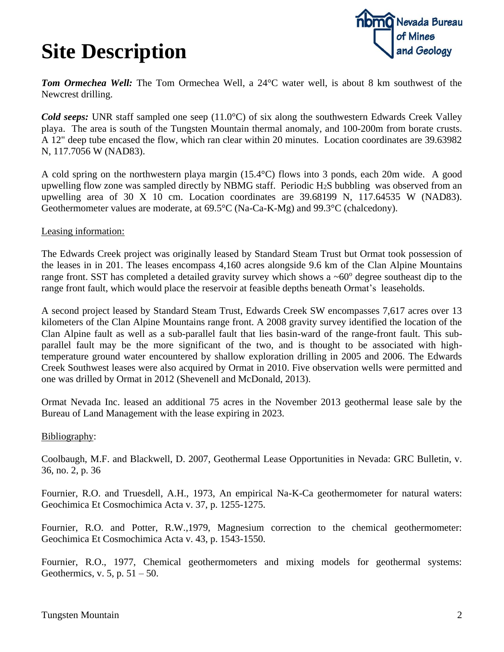## **Site Description**



**Tom Ormechea Well:** The Tom Ormechea Well, a 24<sup>o</sup>C water well, is about 8 km southwest of the Newcrest drilling.

*Cold seeps:* UNR staff sampled one seep (11.0°C) of six along the southwestern Edwards Creek Valley playa. The area is south of the Tungsten Mountain thermal anomaly, and 100-200m from borate crusts. A 12" deep tube encased the flow, which ran clear within 20 minutes. Location coordinates are 39.63982 N, 117.7056 W (NAD83).

A cold spring on the northwestern playa margin (15.4°C) flows into 3 ponds, each 20m wide. A good upwelling flow zone was sampled directly by NBMG staff. Periodic H2S bubbling was observed from an upwelling area of 30 X 10 cm. Location coordinates are  $39.68199$  N,  $117.64535$  W (NAD83). Geothermometer values are moderate, at 69.5°C (Na-Ca-K-Mg) and 99.3°C (chalcedony).

#### Leasing information:

The Edwards Creek project was originally leased by Standard Steam Trust but Ormat took possession of the leases in in 201. The leases encompass 4,160 acres alongside 9.6 km of the Clan Alpine Mountains range front. SST has completed a detailed gravity survey which shows a  $~60^{\circ}$  degree southeast dip to the range front fault, which would place the reservoir at feasible depths beneath Ormat's leaseholds.

A second project leased by Standard Steam Trust, Edwards Creek SW encompasses 7,617 acres over 13 kilometers of the Clan Alpine Mountains range front. A 2008 gravity survey identified the location of the Clan Alpine fault as well as a sub-parallel fault that lies basin-ward of the range-front fault. This subparallel fault may be the more significant of the two, and is thought to be associated with hightemperature ground water encountered by shallow exploration drilling in 2005 and 2006. The Edwards Creek Southwest leases were also acquired by Ormat in 2010. Five observation wells were permitted and one was drilled by Ormat in 2012 (Shevenell and McDonald, 2013).

Ormat Nevada Inc. leased an additional 75 acres in the November 2013 geothermal lease sale by the Bureau of Land Management with the lease expiring in 2023.

#### Bibliography:

Coolbaugh, M.F. and Blackwell, D. 2007, Geothermal Lease Opportunities in Nevada: GRC Bulletin, v. 36, no. 2, p. 36

Fournier, R.O. and Truesdell, A.H., 1973, An empirical Na-K-Ca geothermometer for natural waters: Geochimica Et Cosmochimica Acta v. 37, p. 1255-1275.

Fournier, R.O. and Potter, R.W.,1979, Magnesium correction to the chemical geothermometer: Geochimica Et Cosmochimica Acta v. 43, p. 1543-1550.

Fournier, R.O., 1977, Chemical geothermometers and mixing models for geothermal systems: Geothermics, v. 5, p.  $51 - 50$ .